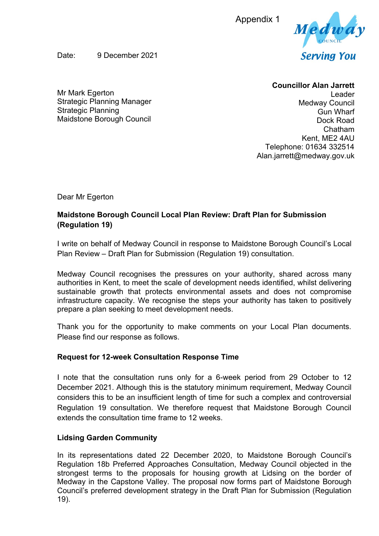Appendix 1



Date: 9 December 2021

## **Councillor Alan Jarrett**

Mr Mark Egerton Strategic Planning Manager Strategic Planning Maidstone Borough Council

Leader Medway Council Gun Wharf Dock Road Chatham Kent, ME2 4AU Telephone: 01634 332514 Alan.jarrett@medway.gov.uk

Dear Mr Egerton

# **Maidstone Borough Council Local Plan Review: Draft Plan for Submission (Regulation 19)**

I write on behalf of Medway Council in response to Maidstone Borough Council's Local Plan Review – Draft Plan for Submission (Regulation 19) consultation.

Medway Council recognises the pressures on your authority, shared across many authorities in Kent, to meet the scale of development needs identified, whilst delivering sustainable growth that protects environmental assets and does not compromise infrastructure capacity. We recognise the steps your authority has taken to positively prepare a plan seeking to meet development needs.

Thank you for the opportunity to make comments on your Local Plan documents. Please find our response as follows.

## **Request for 12-week Consultation Response Time**

I note that the consultation runs only for a 6-week period from 29 October to 12 December 2021. Although this is the statutory minimum requirement, Medway Council considers this to be an insufficient length of time for such a complex and controversial Regulation 19 consultation. We therefore request that Maidstone Borough Council extends the consultation time frame to 12 weeks.

## **Lidsing Garden Community**

In its representations dated 22 December 2020, to Maidstone Borough Council's Regulation 18b Preferred Approaches Consultation, Medway Council objected in the strongest terms to the proposals for housing growth at Lidsing on the border of Medway in the Capstone Valley. The proposal now forms part of Maidstone Borough Council's preferred development strategy in the Draft Plan for Submission (Regulation 19).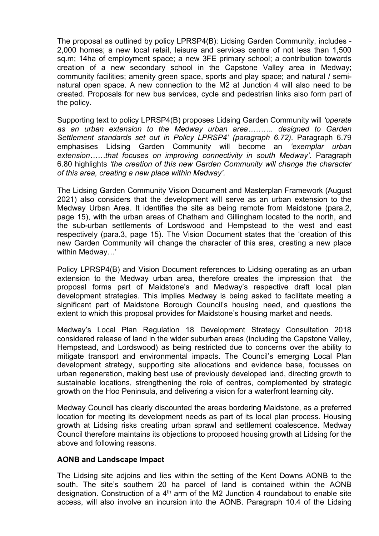The proposal as outlined by policy LPRSP4(B): Lidsing Garden Community, includes - 2,000 homes; a new local retail, leisure and services centre of not less than 1,500 sq.m; 14ha of employment space; a new 3FE primary school; a contribution towards creation of a new secondary school in the Capstone Valley area in Medway; community facilities; amenity green space, sports and play space; and natural / seminatural open space. A new connection to the M2 at Junction 4 will also need to be created. Proposals for new bus services, cycle and pedestrian links also form part of the policy.

Supporting text to policy LPRSP4(B) proposes Lidsing Garden Community will *'operate as an urban extension to the Medway urban area………. designed to Garden Settlement standards set out in Policy LPRSP4' (paragraph 6.72).* Paragraph 6.79 emphasises Lidsing Garden Community will become an *'exemplar urban extension……that focuses on improving connectivity in south Medway'.* Paragraph 6.80 highlights *'the creation of this new Garden Community will change the character of this area, creating a new place within Medway'.*

The Lidsing Garden Community Vision Document and Masterplan Framework (August 2021) also considers that the development will serve as an urban extension to the Medway Urban Area. It identifies the site as being remote from Maidstone (para.2, page 15), with the urban areas of Chatham and Gillingham located to the north, and the sub-urban settlements of Lordswood and Hempstead to the west and east respectively (para.3, page 15). The Vision Document states that the 'creation of this new Garden Community will change the character of this area, creating a new place within Medway…'

Policy LPRSP4(B) and Vision Document references to Lidsing operating as an urban extension to the Medway urban area, therefore creates the impression that the proposal forms part of Maidstone's and Medway's respective draft local plan development strategies. This implies Medway is being asked to facilitate meeting a significant part of Maidstone Borough Council's housing need, and questions the extent to which this proposal provides for Maidstone's housing market and needs.

Medway's Local Plan Regulation 18 Development Strategy Consultation 2018 considered release of land in the wider suburban areas (including the Capstone Valley, Hempstead, and Lordswood) as being restricted due to concerns over the ability to mitigate transport and environmental impacts. The Council's emerging Local Plan development strategy, supporting site allocations and evidence base, focusses on urban regeneration, making best use of previously developed land, directing growth to sustainable locations, strengthening the role of centres, complemented by strategic growth on the Hoo Peninsula, and delivering a vision for a waterfront learning city.

Medway Council has clearly discounted the areas bordering Maidstone, as a preferred location for meeting its development needs as part of its local plan process. Housing growth at Lidsing risks creating urban sprawl and settlement coalescence. Medway Council therefore maintains its objections to proposed housing growth at Lidsing for the above and following reasons.

#### **AONB and Landscape Impact**

The Lidsing site adjoins and lies within the setting of the Kent Downs AONB to the south. The site's southern 20 ha parcel of land is contained within the AONB designation. Construction of a  $4<sup>th</sup>$  arm of the M2 Junction 4 roundabout to enable site access, will also involve an incursion into the AONB. Paragraph 10.4 of the Lidsing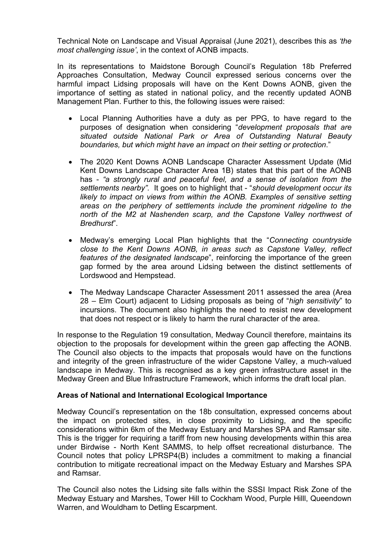Technical Note on Landscape and Visual Appraisal (June 2021), describes this as *'the most challenging issue'*, in the context of AONB impacts.

In its representations to Maidstone Borough Council's Regulation 18b Preferred Approaches Consultation, Medway Council expressed serious concerns over the harmful impact Lidsing proposals will have on the Kent Downs AONB, given the importance of setting as stated in national policy, and the recently updated AONB Management Plan. Further to this, the following issues were raised:

- Local Planning Authorities have a duty as per PPG, to have regard to the purposes of designation when considering "*development proposals that are situated outside National Park or Area of Outstanding Natural Beauty boundaries, but which might have an impact on their setting or protection*."
- The 2020 Kent Downs AONB Landscape Character Assessment Update (Mid Kent Downs Landscape Character Area 1B) states that this part of the AONB has - *"a strongly rural and peaceful feel, and a sense of isolation from the settlements nearby".* It goes on to highlight that - "*should development occur its likely to impact on views from within the AONB. Examples of sensitive setting areas on the periphery of settlements include the prominent ridgeline to the north of the M2 at Nashenden scarp, and the Capstone Valley northwest of Bredhurst*".
- Medway's emerging Local Plan highlights that the "*Connecting countryside close to the Kent Downs AONB, in areas such as Capstone Valley, reflect features of the designated landscape*", reinforcing the importance of the green gap formed by the area around Lidsing between the distinct settlements of Lordswood and Hempstead.
- The Medway Landscape Character Assessment 2011 assessed the area (Area 28 – Elm Court) adjacent to Lidsing proposals as being of "*high sensitivity*" to incursions. The document also highlights the need to resist new development that does not respect or is likely to harm the rural character of the area.

In response to the Regulation 19 consultation, Medway Council therefore, maintains its objection to the proposals for development within the green gap affecting the AONB. The Council also objects to the impacts that proposals would have on the functions and integrity of the green infrastructure of the wider Capstone Valley, a much-valued landscape in Medway. This is recognised as a key green infrastructure asset in the Medway Green and Blue Infrastructure Framework, which informs the draft local plan.

### **Areas of National and International Ecological Importance**

Medway Council's representation on the 18b consultation, expressed concerns about the impact on protected sites, in close proximity to Lidsing, and the specific considerations within 6km of the Medway Estuary and Marshes SPA and Ramsar site. This is the trigger for requiring a tariff from new housing developments within this area under Birdwise - North Kent SAMMS, to help offset recreational disturbance. The Council notes that policy LPRSP4(B) includes a commitment to making a financial contribution to mitigate recreational impact on the Medway Estuary and Marshes SPA and Ramsar.

The Council also notes the Lidsing site falls within the SSSI Impact Risk Zone of the Medway Estuary and Marshes, Tower Hill to Cockham Wood, Purple Hilll, Queendown Warren, and Wouldham to Detling Escarpment.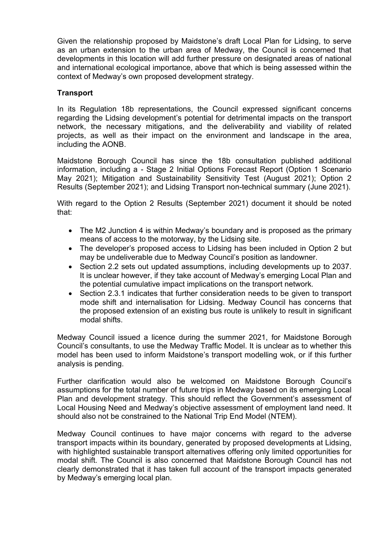Given the relationship proposed by Maidstone's draft Local Plan for Lidsing, to serve as an urban extension to the urban area of Medway, the Council is concerned that developments in this location will add further pressure on designated areas of national and international ecological importance, above that which is being assessed within the context of Medway's own proposed development strategy.

## **Transport**

In its Regulation 18b representations, the Council expressed significant concerns regarding the Lidsing development's potential for detrimental impacts on the transport network, the necessary mitigations, and the deliverability and viability of related projects, as well as their impact on the environment and landscape in the area, including the AONB.

Maidstone Borough Council has since the 18b consultation published additional information, including a - Stage 2 Initial Options Forecast Report (Option 1 Scenario May 2021); Mitigation and Sustainability Sensitivity Test (August 2021); Option 2 Results (September 2021); and Lidsing Transport non-technical summary (June 2021).

With regard to the Option 2 Results (September 2021) document it should be noted that:

- The M2 Junction 4 is within Medway's boundary and is proposed as the primary means of access to the motorway, by the Lidsing site.
- The developer's proposed access to Lidsing has been included in Option 2 but may be undeliverable due to Medway Council's position as landowner.
- Section 2.2 sets out updated assumptions, including developments up to 2037. It is unclear however, if they take account of Medway's emerging Local Plan and the potential cumulative impact implications on the transport network.
- Section 2.3.1 indicates that further consideration needs to be given to transport mode shift and internalisation for Lidsing. Medway Council has concerns that the proposed extension of an existing bus route is unlikely to result in significant modal shifts.

Medway Council issued a licence during the summer 2021, for Maidstone Borough Council's consultants, to use the Medway Traffic Model. It is unclear as to whether this model has been used to inform Maidstone's transport modelling wok, or if this further analysis is pending.

Further clarification would also be welcomed on Maidstone Borough Council's assumptions for the total number of future trips in Medway based on its emerging Local Plan and development strategy. This should reflect the Government's assessment of Local Housing Need and Medway's objective assessment of employment land need. It should also not be constrained to the National Trip End Model (NTEM).

Medway Council continues to have major concerns with regard to the adverse transport impacts within its boundary, generated by proposed developments at Lidsing, with highlighted sustainable transport alternatives offering only limited opportunities for modal shift. The Council is also concerned that Maidstone Borough Council has not clearly demonstrated that it has taken full account of the transport impacts generated by Medway's emerging local plan.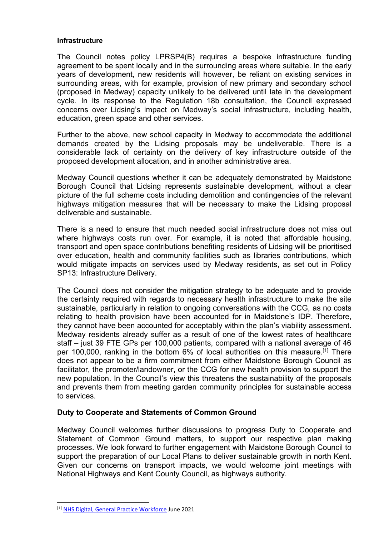#### **Infrastructure**

The Council notes policy LPRSP4(B) requires a bespoke infrastructure funding agreement to be spent locally and in the surrounding areas where suitable. In the early years of development, new residents will however, be reliant on existing services in surrounding areas, with for example, provision of new primary and secondary school (proposed in Medway) capacity unlikely to be delivered until late in the development cycle. In its response to the Regulation 18b consultation, the Council expressed concerns over Lidsing's impact on Medway's social infrastructure, including health, education, green space and other services.

Further to the above, new school capacity in Medway to accommodate the additional demands created by the Lidsing proposals may be undeliverable. There is a considerable lack of certainty on the delivery of key infrastructure outside of the proposed development allocation, and in another administrative area.

Medway Council questions whether it can be adequately demonstrated by Maidstone Borough Council that Lidsing represents sustainable development, without a clear picture of the full scheme costs including demolition and contingencies of the relevant highways mitigation measures that will be necessary to make the Lidsing proposal deliverable and sustainable.

There is a need to ensure that much needed social infrastructure does not miss out where highways costs run over. For example, it is noted that affordable housing, transport and open space contributions benefiting residents of Lidsing will be prioritised over education, health and community facilities such as libraries contributions, which would mitigate impacts on services used by Medway residents, as set out in Policy SP13: Infrastructure Delivery.

The Council does not consider the mitigation strategy to be adequate and to provide the certainty required with regards to necessary health infrastructure to make the site sustainable, particularly in relation to ongoing conversations with the CCG, as no costs relating to health provision have been accounted for in Maidstone's IDP. Therefore, they cannot have been accounted for acceptably within the plan's viability assessment. Medway residents already suffer as a result of one of the lowest rates of healthcare staff – just 39 FTE GPs per 100,000 patients, compared with a national average of 46 per 100,000, ranking in the bottom 6% of local authorities on this measure.[1] There does not appear to be a firm commitment from either Maidstone Borough Council as facilitator, the promoter/landowner, or the CCG for new health provision to support the new population. In the Council's view this threatens the sustainability of the proposals and prevents them from meeting garden community principles for sustainable access to services.

### **Duty to Cooperate and Statements of Common Ground**

Medway Council welcomes further discussions to progress Duty to Cooperate and Statement of Common Ground matters, to support our respective plan making processes. We look forward to further engagement with Maidstone Borough Council to support the preparation of our Local Plans to deliver sustainable growth in north Kent. Given our concerns on transport impacts, we would welcome joint meetings with National Highways and Kent County Council, as highways authority.

<sup>[1]</sup> [NHS Digital, General Practice Workforce](https://app.powerbi.com/view?r=eyJrIjoiNTI4NTE1YTUtOTg2Yy00NTc2LTg3OTktZjQ1NzY2NGZlNDRjIiwidCI6IjUwZjYwNzFmLWJiZmUtNDAxYS04ODAzLTY3Mzc0OGU2MjllMiIsImMiOjh9) June 2021